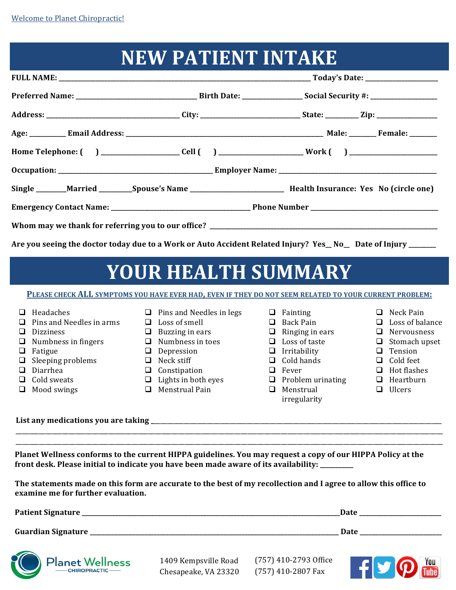#### **NEW PATIENT INTAKE**

|                                                                                                               |  | Home Telephone: ( ) _____________________Cell ( ) __________________________Work ( ) _________________________          |  |  |  |  |  |
|---------------------------------------------------------------------------------------------------------------|--|-------------------------------------------------------------------------------------------------------------------------|--|--|--|--|--|
|                                                                                                               |  |                                                                                                                         |  |  |  |  |  |
|                                                                                                               |  | Single ________Married __________Spouse's Name __________________________________ Health Insurance: Yes No (circle one) |  |  |  |  |  |
|                                                                                                               |  |                                                                                                                         |  |  |  |  |  |
|                                                                                                               |  |                                                                                                                         |  |  |  |  |  |
| Are you seeing the doctor today due to a Work or Auto Accident Related Injury? Yes_No_ Date of Injury _______ |  |                                                                                                                         |  |  |  |  |  |

### **YOUR HEALTH SUMMARY**

PLEASE CHECK ALL SYMPTOMS YOU HAVE EVER HAD, EVEN IF THEY DO NOT SEEM RELATED TO YOUR CURRENT PROBLEM:

#### $\Box$  Headaches

- $\Box$  Pins and Needles in arms
- **D** Dizziness
- $\Box$  Numbness in fingers
- $\Box$  Fatigue
- $\Box$  Sleeping problems
- □ Diarrhea
- $\Box$  Cold sweats
- $\Box$  Mood swings
- $\Box$  Pins and Needles in legs
- $\Box$  Loss of smell
- $\Box$  Buzzing in ears
- $\Box$  Numbness in toes
- $\Box$  Depression
- $\Box$  Neck stiff
- $\Box$  Constipation
- $\Box$  Lights in both eyes
- $\Box$  Menstrual Pain
- $\Box$  Fainting
- □ Back Pain
- $\Box$  Ringing in ears
- $\Box$  Loss of taste
- $\Box$  Irritability
- $\Box$  Cold hands
- $\Box$  Fever
- $\Box$  Problem urinating
- **Q** Menstrual
	- irregularity
- □ Neck Pain
- $\Box$  Loss of balance
- **Q** Nervousness
- $\Box$  Stomach upset
- **Q** Tension
- $\Box$  Cold feet
- $\Box$  Hot flashes
- $\Box$  Heartburn
- $\Box$  Ulcers

List any medications you are taking

Planet Wellness conforms to the current HIPPA guidelines. You may request a copy of our HIPPA Policy at the front desk. Please initial to indicate you have been made aware of its availability: \_\_\_\_\_\_\_\_\_

\_\_\_\_\_\_\_\_\_\_\_\_\_\_\_\_\_\_\_\_\_\_\_\_\_\_\_\_\_\_\_\_\_\_\_\_\_\_\_\_\_\_\_\_\_\_\_\_\_\_\_\_\_\_\_\_\_\_\_\_\_\_\_\_\_\_\_\_\_\_\_\_\_\_\_\_\_\_\_\_\_\_\_\_\_\_\_\_\_\_\_\_\_\_\_\_\_\_\_\_\_\_\_\_\_\_\_\_\_\_\_\_\_\_\_\_\_\_\_\_\_\_\_\_\_\_\_\_\_ \_\_\_\_\_\_\_\_\_\_\_\_\_\_\_\_\_\_\_\_\_\_\_\_\_\_\_\_\_\_\_\_\_\_\_\_\_\_\_\_\_\_\_\_\_\_\_\_\_\_\_\_\_\_\_\_\_\_\_\_\_\_\_\_\_\_\_\_\_\_\_\_\_\_\_\_\_\_\_\_\_\_\_\_\_\_\_\_\_\_\_\_\_\_\_\_\_\_\_\_\_\_\_\_\_\_\_\_\_\_\_\_\_\_\_\_\_\_\_\_\_\_\_\_\_\_\_\_\_

The statements made on this form are accurate to the best of my recollection and I agree to allow this office to **examine me for further evaluation.** 

| <b>Patient Signature</b>  | <b>Date</b><br>______                          |
|---------------------------|------------------------------------------------|
| <b>Guardian Signature</b> | Date<br>_______________________<br>___________ |



1409 Kempsville Road Chesapeake, VA 23320 (757) 410-2793 Office (757) 410-2807 Fax

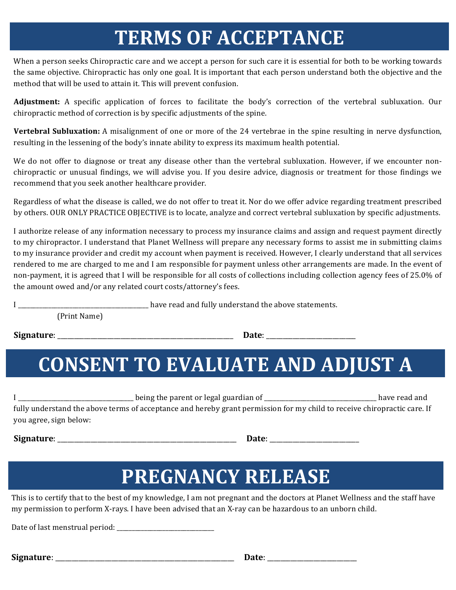### **TERMS OF ACCEPTANCE**

When a person seeks Chiropractic care and we accept a person for such care it is essential for both to be working towards the same objective. Chiropractic has only one goal. It is important that each person understand both the objective and the method that will be used to attain it. This will prevent confusion.

Adjustment: A specific application of forces to facilitate the body's correction of the vertebral subluxation. Our chiropractic method of correction is by specific adjustments of the spine.

**Vertebral Subluxation:** A misalignment of one or more of the 24 vertebrae in the spine resulting in nerve dysfunction, resulting in the lessening of the body's innate ability to express its maximum health potential.

We do not offer to diagnose or treat any disease other than the vertebral subluxation. However, if we encounter nonchiropractic or unusual findings, we will advise you. If you desire advice, diagnosis or treatment for those findings we recommend that you seek another healthcare provider.

Regardless of what the disease is called, we do not offer to treat it. Nor do we offer advice regarding treatment prescribed by others. OUR ONLY PRACTICE OBJECTIVE is to locate, analyze and correct vertebral subluxation by specific adjustments.

I authorize release of any information necessary to process my insurance claims and assign and request payment directly to my chiropractor. I understand that Planet Wellness will prepare any necessary forms to assist me in submitting claims to my insurance provider and credit my account when payment is received. However, I clearly understand that all services rendered to me are charged to me and I am responsible for payment unless other arrangements are made. In the event of non-payment, it is agreed that I will be responsible for all costs of collections including collection agency fees of 25.0% of the amount owed and/or any related court costs/attorney's fees.

I show the same of the statements is the statement of the statements is the statements.

(Print Name)

**Signature**: \_\_\_\_\_\_\_\_\_\_\_\_\_\_\_\_\_\_\_\_\_\_\_\_\_\_\_\_\_\_\_\_\_\_\_\_\_\_\_\_\_\_\_\_\_\_\_\_\_\_\_\_\_  **Date**: \_\_\_\_\_\_\_\_\_\_\_\_\_\_\_\_\_\_\_\_\_\_\_\_\_\_\_

## **CONSENT TO EVALUATE AND ADJUST A**

| being the parent or legal guardian of                                                                                    | have read and |
|--------------------------------------------------------------------------------------------------------------------------|---------------|
| fully understand the above terms of acceptance and hereby grant permission for my child to receive chiropractic care. If |               |
| you agree, sign below:                                                                                                   |               |

**Signature**: \_\_\_\_\_\_\_\_\_\_\_\_\_\_\_\_\_\_\_\_\_\_\_\_\_\_\_\_\_\_\_\_\_\_\_\_\_\_\_\_\_\_\_\_\_\_\_\_\_\_\_\_\_\_ **Date**: \_\_\_\_\_\_\_\_\_\_\_\_\_\_\_\_\_\_\_\_\_\_\_\_\_\_\_

### **PREGNANCY RELEASE**

This is to certify that to the best of my knowledge, I am not pregnant and the doctors at Planet Wellness and the staff have my permission to perform X-rays. I have been advised that an X-ray can be hazardous to an unborn child.

Date of last menstrual period: \_\_\_\_\_\_\_\_\_\_\_\_\_\_\_\_\_\_\_\_\_\_\_\_\_\_\_\_\_\_\_\_

**Signature**: \_\_\_\_\_\_\_\_\_\_\_\_\_\_\_\_\_\_\_\_\_\_\_\_\_\_\_\_\_\_\_\_\_\_\_\_\_\_\_\_\_\_\_\_\_\_\_\_\_\_\_\_\_\_ **Date**: \_\_\_\_\_\_\_\_\_\_\_\_\_\_\_\_\_\_\_\_\_\_\_\_\_\_\_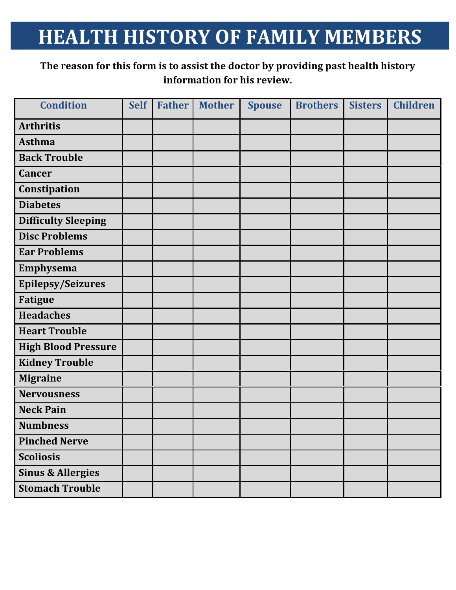#### **HEALTH HISTORY OF FAMILY MEMBERS**

#### The reason for this form is to assist the doctor by providing past health history **information for his review.**

| <b>Condition</b>             | <b>Self</b> | <b>Father</b> | <b>Mother</b> | <b>Spouse</b> | <b>Brothers</b> | <b>Sisters</b> | <b>Children</b> |
|------------------------------|-------------|---------------|---------------|---------------|-----------------|----------------|-----------------|
| <b>Arthritis</b>             |             |               |               |               |                 |                |                 |
| <b>Asthma</b>                |             |               |               |               |                 |                |                 |
| <b>Back Trouble</b>          |             |               |               |               |                 |                |                 |
| <b>Cancer</b>                |             |               |               |               |                 |                |                 |
| Constipation                 |             |               |               |               |                 |                |                 |
| <b>Diabetes</b>              |             |               |               |               |                 |                |                 |
| <b>Difficulty Sleeping</b>   |             |               |               |               |                 |                |                 |
| <b>Disc Problems</b>         |             |               |               |               |                 |                |                 |
| <b>Ear Problems</b>          |             |               |               |               |                 |                |                 |
| Emphysema                    |             |               |               |               |                 |                |                 |
| <b>Epilepsy/Seizures</b>     |             |               |               |               |                 |                |                 |
| <b>Fatigue</b>               |             |               |               |               |                 |                |                 |
| <b>Headaches</b>             |             |               |               |               |                 |                |                 |
| <b>Heart Trouble</b>         |             |               |               |               |                 |                |                 |
| <b>High Blood Pressure</b>   |             |               |               |               |                 |                |                 |
| <b>Kidney Trouble</b>        |             |               |               |               |                 |                |                 |
| <b>Migraine</b>              |             |               |               |               |                 |                |                 |
| <b>Nervousness</b>           |             |               |               |               |                 |                |                 |
| <b>Neck Pain</b>             |             |               |               |               |                 |                |                 |
| <b>Numbness</b>              |             |               |               |               |                 |                |                 |
| <b>Pinched Nerve</b>         |             |               |               |               |                 |                |                 |
| <b>Scoliosis</b>             |             |               |               |               |                 |                |                 |
| <b>Sinus &amp; Allergies</b> |             |               |               |               |                 |                |                 |
| <b>Stomach Trouble</b>       |             |               |               |               |                 |                |                 |